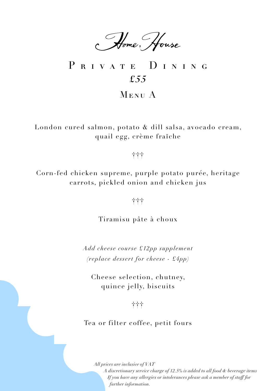Home, House

### PRIVATE DINING *£55* Menu A

London cured salmon, potato & dill salsa, avocado cream, quail egg, crème fraÎche

†††

Corn-fed chicken supreme, purple potato purée, heritage carrots, pickled onion and chicken jus

†††

Tiramisu pâte à choux

*Add cheese course £12pp supplement (replace dessert for cheese - £4pp)*

Cheese selection, chutney, quince jelly, biscuits

†††

Tea or filter coffee, petit fours

*All prices are inclusive of VAT*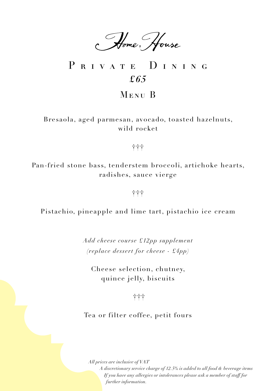Home, House

# PRIVATE DINING *£65*

Menu B

Bresaola, aged parmesan, avocado, toasted hazelnuts, wild rocket

†††

Pan-fried stone bass, tenderstem broccoli, artichoke hearts, radishes, sauce vierge

†††

Pistachio, pineapple and lime tart, pistachio ice cream

*Add cheese course £12pp supplement (replace dessert for cheese - £4pp)*

Cheese selection, chutney, quince jelly, biscuits

†††

Tea or filter coffee, petit fours

*All prices are inclusive of VAT*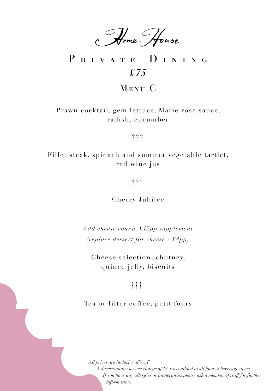Home, House

## PRIVATE DINING *£75*

Menu C

Prawn cocktail, gem lettuce, Marie rose sauce, radish, cucumber

†††

Fillet steak, spinach and summer vegetable tartlet, red wine jus

†††

Cherry Jubilee

*Add cheese course £12pp supplement (replace dessert for cheese - £4pp)*

Cheese selection, chutney, quince jelly, biscuits

### †††

Tea or filter coffee, petit fours

*All prices are inclusive of VAT*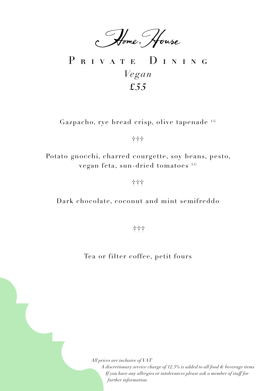Home, House

PRIVATE DINING *Vegan £55*

Gazpacho, rye bread crisp, olive tapenade *VG*

†††

Potato gnocchi, charred courgette, soy beans, pesto, vegan feta, sun-dried tomatoes *VG*

†††

Dark chocolate, coconut and mint semifreddo

†≠≠<del>1</del>≠ + 1∤<br>††

Tea or filter coffee, petit fours

*All prices are inclusive of VAT*